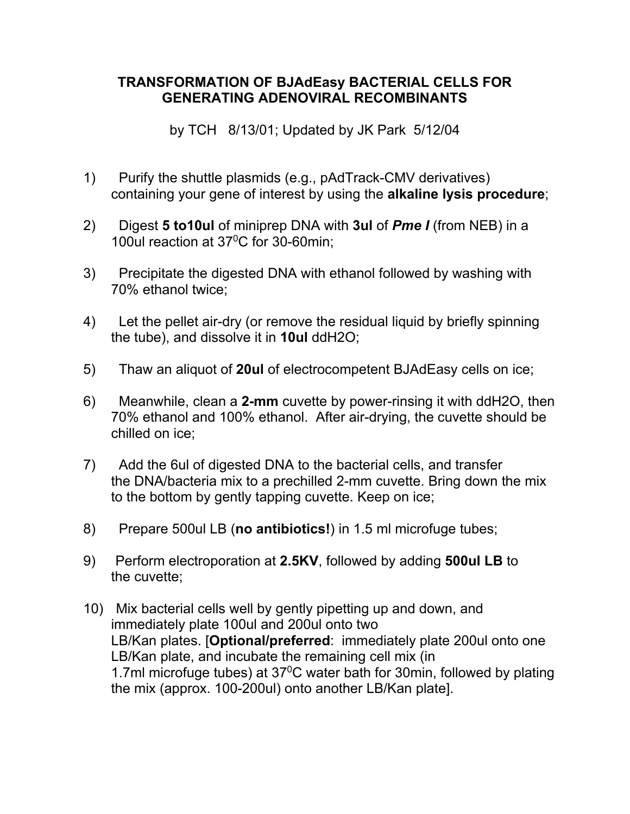## **TRANSFORMATION OF BJAdEasy BACTERIAL CELLS FOR GENERATING ADENOVIRAL RECOMBINANTS**

by TCH 8/13/01; Updated by JK Park 5/12/04

- 1) Purify the shuttle plasmids (e.g., pAdTrack-CMV derivatives) containing your gene of interest by using the **alkaline lysis procedure**;
- 2) Digest **5 to10ul** of miniprep DNA with **3ul** of *Pme I* (from NEB) in a 100ul reaction at 37<sup>o</sup>C for 30-60min;
- 3) Precipitate the digested DNA with ethanol followed by washing with 70% ethanol twice;
- 4) Let the pellet air-dry (or remove the residual liquid by briefly spinning the tube), and dissolve it in **10ul** ddH2O;
- 5) Thaw an aliquot of **20ul** of electrocompetent BJAdEasy cells on ice;
- 6) Meanwhile, clean a **2-mm** cuvette by power-rinsing it with ddH2O, then 70% ethanol and 100% ethanol. After air-drying, the cuvette should be chilled on ice;
- 7) Add the 6ul of digested DNA to the bacterial cells, and transfer the DNA/bacteria mix to a prechilled 2-mm cuvette. Bring down the mix to the bottom by gently tapping cuvette. Keep on ice;
- 8) Prepare 500ul LB (**no antibiotics!**) in 1.5 ml microfuge tubes;
- 9) Perform electroporation at **2.5KV**, followed by adding **500ul LB** to the cuvette;
- 10) Mix bacterial cells well by gently pipetting up and down, and immediately plate 100ul and 200ul onto two LB/Kan plates. [**Optional/preferred**: immediately plate 200ul onto one LB/Kan plate, and incubate the remaining cell mix (in 1.7ml microfuge tubes) at  $37^{\circ}$ C water bath for 30min, followed by plating the mix (approx. 100-200ul) onto another LB/Kan plate].